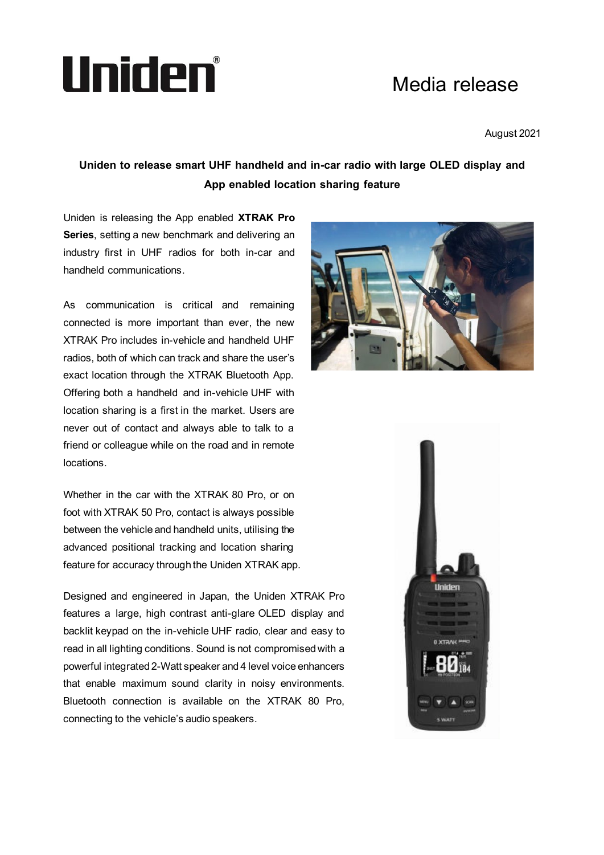# Uniden®

## Media release

August 2021

### **Uniden to release smart UHF handheld and in-car radio with large OLED display and App enabled location sharing feature**

Uniden is releasing the App enabled **XTRAK Pro Series**, setting a new benchmark and delivering an industry first in UHF radios for both in-car and handheld communications.

As communication is critical and remaining connected is more important than ever, the new XTRAK Pro includes in-vehicle and handheld UHF radios, both of which can track and share the user's exact location through the XTRAK Bluetooth App. Offering both a handheld and in-vehicle UHF with location sharing is a first in the market. Users are never out of contact and always able to talk to a friend or colleague while on the road and in remote locations.

Whether in the car with the XTRAK 80 Pro, or on foot with XTRAK 50 Pro, contact is always possible between the vehicle and handheld units, utilising the advanced positional tracking and location sharing feature for accuracy through the Uniden XTRAK app.

Designed and engineered in Japan, the Uniden XTRAK Pro features a large, high contrast anti-glare OLED display and backlit keypad on the in-vehicle UHF radio, clear and easy to read in all lighting conditions. Sound is not compromised with a powerful integrated 2-Watt speaker and 4 level voice enhancers that enable maximum sound clarity in noisy environments. Bluetooth connection is available on the XTRAK 80 Pro, connecting to the vehicle's audio speakers.



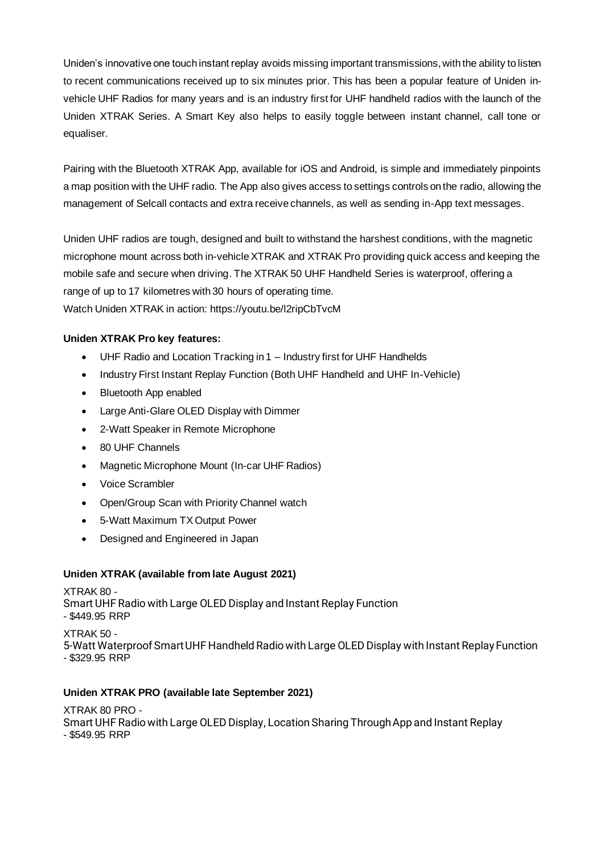Uniden's innovative one touch instant replay avoids missing important transmissions, with the ability to listen to recent communications received up to six minutes prior. This has been a popular feature of Uniden invehicle UHF Radios for many years and is an industry first for UHF handheld radios with the launch of the Uniden XTRAK Series. A Smart Key also helps to easily toggle between instant channel, call tone or equaliser.

Pairing with the Bluetooth XTRAK App, available for iOS and Android, is simple and immediately pinpoints a map position with the UHF radio. The App also gives access to settings controls on the radio, allowing the management of Selcall contacts and extra receive channels, as well as sending in-App text messages.

Uniden UHF radios are tough, designed and built to withstand the harshest conditions, with the magnetic microphone mount across both in-vehicleXTRAK and XTRAK Pro providing quick access and keeping the mobile safe and secure when driving. The XTRAK 50 UHF Handheld Series is waterproof, offering a range of up to 17 kilometres with 30 hours of operating time. Watch Uniden XTRAK in action:<https://youtu.be/l2ripCbTvcM>

#### **Uniden XTRAK Pro key features:**

- UHF Radio and Location Tracking in 1 Industry first for UHF Handhelds
- Industry First Instant Replay Function (Both UHF Handheld and UHF In-Vehicle)
- Bluetooth App enabled
- Large Anti-Glare OLED Display with Dimmer
- 2-Watt Speaker in Remote Microphone
- 80 UHF Channels
- Magnetic Microphone Mount (In-car UHF Radios)
- Voice Scrambler
- Open/Group Scan with Priority Channel watch
- 5-Watt Maximum TX Output Power
- Designed and Engineered in Japan

#### **Uniden XTRAK (available from late August 2021)**

XTRAK 80 - Smart UHF Radio with Large OLED Display and Instant Replay Function - \$449.95 RRP

XTRAK 50 - 5-Watt Waterproof Smart UHF Handheld Radio with Large OLED Display with Instant Replay Function - \$329.95 RRP

#### **Uniden XTRAK PRO (available late September 2021)**

XTRAK 80 PRO - Smart UHF Radio with Large OLED Display, Location Sharing Through App and Instant Replay - \$549.95 RRP